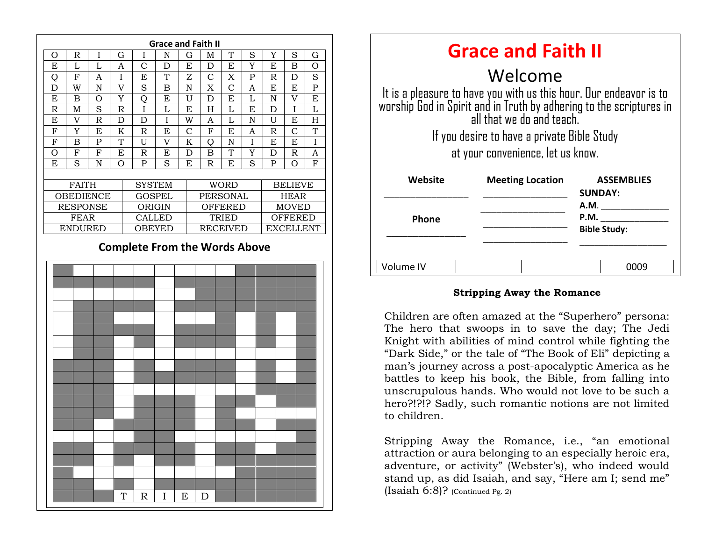

| <b>Grace and Faith II</b>                                                                                                                                              |                         |                                     |
|------------------------------------------------------------------------------------------------------------------------------------------------------------------------|-------------------------|-------------------------------------|
| Welcome                                                                                                                                                                |                         |                                     |
| It is a pleasure to have you with us this hour. Our endeavor is to<br>worship God in Spirit and in Truth by adhering to the scriptures in<br>all that we do and teach. |                         |                                     |
| If you desire to have a private Bible Study                                                                                                                            |                         |                                     |
| at your convenience, let us know.                                                                                                                                      |                         |                                     |
| Website                                                                                                                                                                | <b>Meeting Location</b> | <b>ASSEMBLIES</b><br><b>SUNDAY:</b> |
|                                                                                                                                                                        |                         | A.M.                                |
| <b>Phone</b>                                                                                                                                                           |                         | P.M.                                |
|                                                                                                                                                                        |                         | <b>Bible Study:</b>                 |
|                                                                                                                                                                        |                         |                                     |
| Volume IV                                                                                                                                                              |                         |                                     |

#### **Stripping Away the Romance**

Knight with abilities of mind control while fighting the  $\frac{1}{2}$ Children are often amazed at the "Superhero" persona: The hero that swoops in to save the day; The Jedi "Dark Side," or the tale of "The Book of Eli" depicting a man's journey across a post-apocalyptic America as he battles to keep his book, the Bible, from falling into unscrupulous hands. Who would not love to be such a hero?!?!? Sadly, such romantic notions are not limited to children.

Stripping Away the Romance, i.e., "an emotional attraction or aura belonging to an especially heroic era, adventure, or activity" (Webster's), who indeed would stand up, as did Isaiah, and say, "Here am I; send me" (Isaiah 6:8)? (Continued Pg. 2)